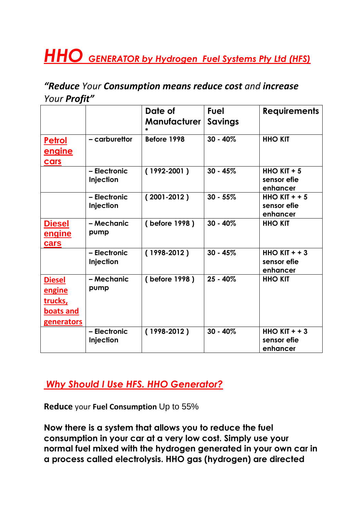## *HHO GENERATOR by Hydrogen Fuel Systems Pty Ltd (HFS)*

## *"Reduce Your Consumption means reduce cost and increase Your Profit"*

|                                                                             |                           | Date of<br><b>Manufacturer</b> | <b>Fuel</b><br>Savings | <b>Requirements</b>                           |
|-----------------------------------------------------------------------------|---------------------------|--------------------------------|------------------------|-----------------------------------------------|
| <u>Petrol</u><br><u>engine</u><br>cars                                      | - carburettor             | Before 1998                    | $30 - 40%$             | <b>HHO KIT</b>                                |
|                                                                             | - Electronic<br>Injection | $(1992 - 2001)$                | $30 - 45%$             | <b>HHO KIT + 5</b><br>sensor efie<br>enhancer |
|                                                                             | - Electronic<br>Injection | $(2001 - 2012)$                | $30 - 55%$             | HHO KIT $+$ + 5<br>sensor efie<br>enhancer    |
| <u>Diesel</u><br><u>engine</u><br>cars                                      | - Mechanic<br>pump        | (before 1998)                  | $30 - 40%$             | <b>HHO KIT</b>                                |
|                                                                             | - Electronic<br>Injection | $(1998-2012)$                  | $30 - 45%$             | HHO $KIT + + 3$<br>sensor efie<br>enhancer    |
| <b>Diesel</b><br>engine<br>trucks,<br><b>boats and</b><br><b>generators</b> | - Mechanic<br>pump        | (before 1998)                  | $25 - 40\%$            | <b>HHO KIT</b>                                |
|                                                                             | - Electronic<br>Injection | $(1998-2012)$                  | $30 - 40%$             | HHO $KIT + + 3$<br>sensor efie<br>enhancer    |

*Why Should I Use HFS. HHO Generator?*

**Reduce** your **Fuel Consumption** Up to 55%

**Now there is a system that allows you to reduce the fuel consumption in your car at a very low cost. Simply use your normal fuel mixed with the hydrogen generated in your own car in a process called electrolysis. HHO gas (hydrogen) are directed**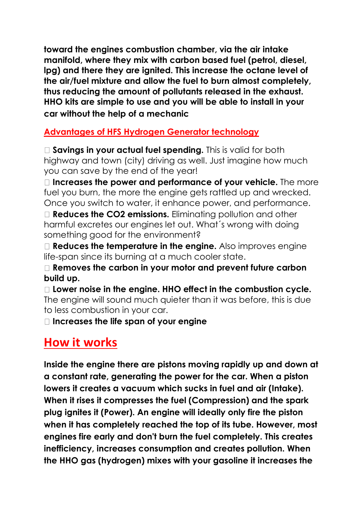**toward the engines combustion chamber, via the air intake manifold, where they mix with carbon based fuel (petrol, diesel, lpg) and there they are ignited. This increase the octane level of the air/fuel mixture and allow the fuel to burn almost completely, thus reducing the amount of pollutants released in the exhaust. HHO kits are simple to use and you will be able to install in your car without the help of a mechanic**

## **Advantages of HFS Hydrogen Generator technology**

□ **Savinas in your actual fuel spending.** This is valid for both highway and town (city) driving as well. Just imagine how much you can save by the end of the year!

**Increases the power and performance of your vehicle.** The more fuel you burn, the more the engine gets rattled up and wrecked. Once you switch to water, it enhance power, and performance.

**Reduces the CO2 emissions.** Eliminating pollution and other harmful excretes our engines let out. What´s wrong with doing something good for the environment?

**Reduces the temperature in the engine.** Also improves engine life-span since its burning at a much cooler state.

**Removes the carbon in your motor and prevent future carbon build up.** 

**Lower noise in the engine. HHO effect in the combustion cycle.**  The engine will sound much quieter than it was before, this is due to less combustion in your car.

**Increases the life span of your engine**

## **How it works**

**Inside the engine there are pistons moving rapidly up and down at a constant rate, generating the power for the car. When a piston lowers it creates a vacuum which sucks in fuel and air (Intake). When it rises it compresses the fuel (Compression) and the spark plug ignites it (Power). An engine will ideally only fire the piston when it has completely reached the top of its tube. However, most engines fire early and don't burn the fuel completely. This creates inefficiency, increases consumption and creates pollution. When the HHO gas (hydrogen) mixes with your gasoline it increases the**